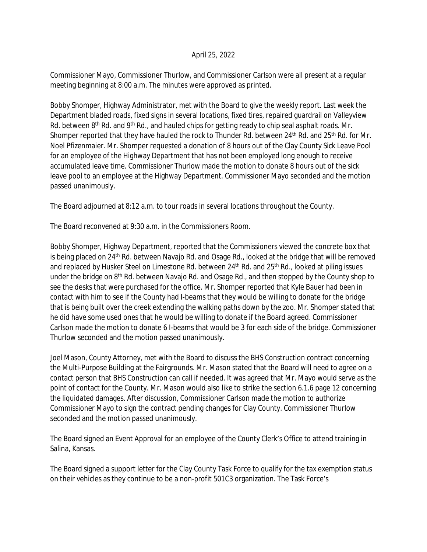## April 25, 2022

Commissioner Mayo, Commissioner Thurlow, and Commissioner Carlson were all present at a regular meeting beginning at 8:00 a.m. The minutes were approved as printed.

Bobby Shomper, Highway Administrator, met with the Board to give the weekly report. Last week the Department bladed roads, fixed signs in several locations, fixed tires, repaired guardrail on Valleyview Rd. between 8<sup>th</sup> Rd. and 9<sup>th</sup> Rd., and hauled chips for getting ready to chip seal asphalt roads. Mr. Shomper reported that they have hauled the rock to Thunder Rd. between 24<sup>th</sup> Rd. and 25<sup>th</sup> Rd. for Mr. Noel Pfizenmaier. Mr. Shomper requested a donation of 8 hours out of the Clay County Sick Leave Pool for an employee of the Highway Department that has not been employed long enough to receive accumulated leave time. Commissioner Thurlow made the motion to donate 8 hours out of the sick leave pool to an employee at the Highway Department. Commissioner Mayo seconded and the motion passed unanimously.

The Board adjourned at 8:12 a.m. to tour roads in several locations throughout the County.

The Board reconvened at 9:30 a.m. in the Commissioners Room.

Bobby Shomper, Highway Department, reported that the Commissioners viewed the concrete box that is being placed on 24<sup>th</sup> Rd. between Navajo Rd. and Osage Rd., looked at the bridge that will be removed and replaced by Husker Steel on Limestone Rd. between 24<sup>th</sup> Rd. and 25<sup>th</sup> Rd., looked at piling issues under the bridge on 8<sup>th</sup> Rd. between Navajo Rd. and Osage Rd., and then stopped by the County shop to see the desks that were purchased for the office. Mr. Shomper reported that Kyle Bauer had been in contact with him to see if the County had I-beams that they would be willing to donate for the bridge that is being built over the creek extending the walking paths down by the zoo. Mr. Shomper stated that he did have some used ones that he would be willing to donate if the Board agreed. Commissioner Carlson made the motion to donate 6 I-beams that would be 3 for each side of the bridge. Commissioner Thurlow seconded and the motion passed unanimously.

Joel Mason, County Attorney, met with the Board to discuss the BHS Construction contract concerning the Multi-Purpose Building at the Fairgrounds. Mr. Mason stated that the Board will need to agree on a contact person that BHS Construction can call if needed. It was agreed that Mr. Mayo would serve as the point of contact for the County. Mr. Mason would also like to strike the section 6.1.6 page 12 concerning the liquidated damages. After discussion, Commissioner Carlson made the motion to authorize Commissioner Mayo to sign the contract pending changes for Clay County. Commissioner Thurlow seconded and the motion passed unanimously.

The Board signed an Event Approval for an employee of the County Clerk's Office to attend training in Salina, Kansas.

The Board signed a support letter for the Clay County Task Force to qualify for the tax exemption status on their vehicles as they continue to be a non-profit 501C3 organization. The Task Force's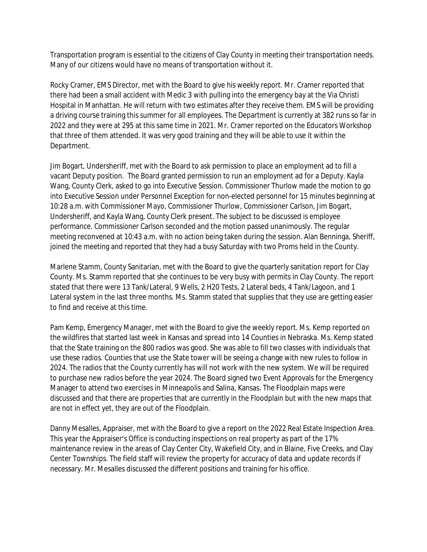Transportation program is essential to the citizens of Clay County in meeting their transportation needs. Many of our citizens would have no means of transportation without it.

Rocky Cramer, EMS Director, met with the Board to give his weekly report. Mr. Cramer reported that there had been a small accident with Medic 3 with pulling into the emergency bay at the Via Christi Hospital in Manhattan. He will return with two estimates after they receive them. EMS will be providing a driving course training this summer for all employees. The Department is currently at 382 runs so far in 2022 and they were at 295 at this same time in 2021. Mr. Cramer reported on the Educators Workshop that three of them attended. It was very good training and they will be able to use it within the Department.

Jim Bogart, Undersheriff, met with the Board to ask permission to place an employment ad to fill a vacant Deputy position. The Board granted permission to run an employment ad for a Deputy. Kayla Wang, County Clerk, asked to go into Executive Session. Commissioner Thurlow made the motion to go into Executive Session under Personnel Exception for non-elected personnel for 15 minutes beginning at 10:28 a.m. with Commissioner Mayo, Commissioner Thurlow, Commissioner Carlson, Jim Bogart, Undersheriff, and Kayla Wang, County Clerk present. The subject to be discussed is employee performance. Commissioner Carlson seconded and the motion passed unanimously. The regular meeting reconvened at 10:43 a.m. with no action being taken during the session. Alan Benninga, Sheriff, joined the meeting and reported that they had a busy Saturday with two Proms held in the County.

Marlene Stamm, County Sanitarian, met with the Board to give the quarterly sanitation report for Clay County. Ms. Stamm reported that she continues to be very busy with permits in Clay County. The report stated that there were 13 Tank/Lateral, 9 Wells, 2 H20 Tests, 2 Lateral beds, 4 Tank/Lagoon, and 1 Lateral system in the last three months. Ms. Stamm stated that supplies that they use are getting easier to find and receive at this time.

Pam Kemp, Emergency Manager, met with the Board to give the weekly report. Ms. Kemp reported on the wildfires that started last week in Kansas and spread into 14 Counties in Nebraska. Ms. Kemp stated that the State training on the 800 radios was good. She was able to fill two classes with individuals that use these radios. Counties that use the State tower will be seeing a change with new rules to follow in 2024. The radios that the County currently has will not work with the new system. We will be required to purchase new radios before the year 2024. The Board signed two Event Approvals for the Emergency Manager to attend two exercises in Minneapolis and Salina, Kansas. The Floodplain maps were discussed and that there are properties that are currently in the Floodplain but with the new maps that are not in effect yet, they are out of the Floodplain.

Danny Mesalles, Appraiser, met with the Board to give a report on the 2022 Real Estate Inspection Area. This year the Appraiser's Office is conducting inspections on real property as part of the 17% maintenance review in the areas of Clay Center City, Wakefield City, and in Blaine, Five Creeks, and Clay Center Townships. The field staff will review the property for accuracy of data and update records if necessary. Mr. Mesalles discussed the different positions and training for his office.